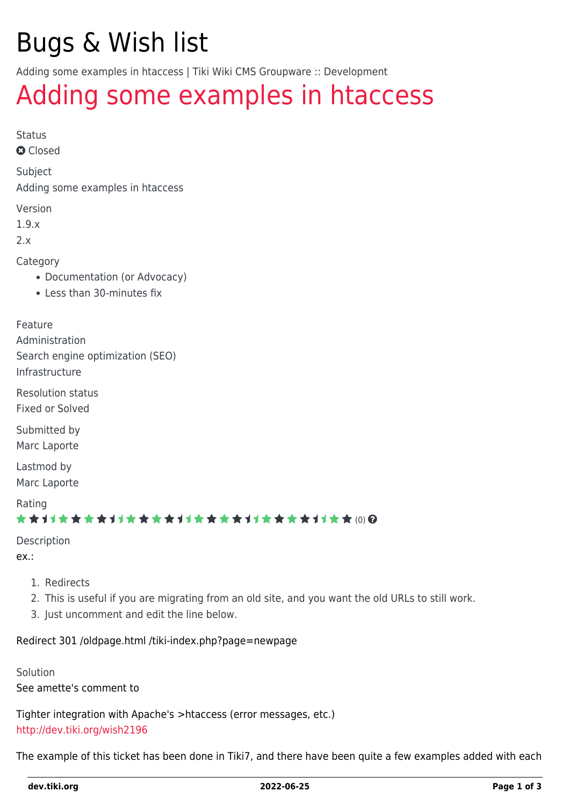# Bugs & Wish list

Adding some examples in htaccess | Tiki Wiki CMS Groupware :: Development

## [Adding some examples in htaccess](https://dev.tiki.org/item1611-Adding-some-examples-in-htaccess)

Status

**Q** Closed

Subject

Adding some examples in htaccess

Version

1.9.x

2.x

Category

- Documentation (or Advocacy)
- Less than 30-minutes fix

Feature

Administration Search engine optimization (SEO) Infrastructure

Resolution status Fixed or Solved

Submitted by Marc Laporte

Lastmod by Marc Laporte

Rating

#### \*\*\*\*\*\*\*\*\*\*\*\*\*\*\*\*\*\*\*\*\*\*\*\*\*\*\*\*\*\*

Description

ex.:

- 1. Redirects
- 2. This is useful if you are migrating from an old site, and you want the old URLs to still work.
- 3. Just uncomment and edit the line below.

Redirect 301 /oldpage.html /tiki-index.php?page=newpage

Solution See amette's comment to

Tighter integration with Apache's >htaccess (error messages, etc.) <http://dev.tiki.org/wish2196>

The example of this ticket has been done in Tiki7, and there have been quite a few examples added with each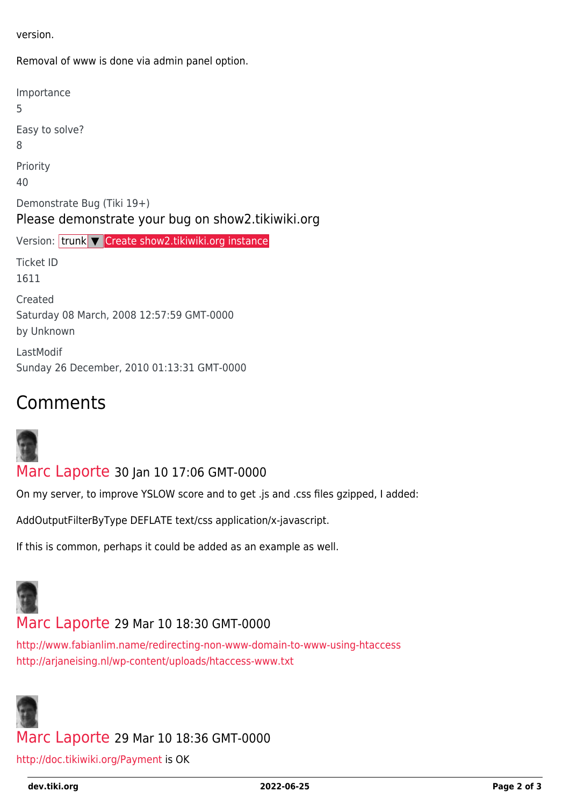version.

Removal of www is done via admin panel option.

Importance 5 Easy to solve? 8 Priority 40 Demonstrate Bug (Tiki 19+) Please demonstrate your bug on show2.tikiwiki.org Version: trunk ▼ [Create show2.tikiwiki.org instance](#page--1-0) Ticket ID 1611 Created Saturday 08 March, 2008 12:57:59 GMT-0000 by Unknown LastModif Sunday 26 December, 2010 01:13:31 GMT-0000

## Comments



[Marc Laporte](https://dev.tiki.org/user11197) 30 Jan 10 17:06 GMT-0000

On my server, to improve YSLOW score and to get .js and .css files gzipped, I added:

AddOutputFilterByType DEFLATE text/css application/x-javascript.

If this is common, perhaps it could be added as an example as well.



### [Marc Laporte](https://dev.tiki.org/user11197) 29 Mar 10 18:30 GMT-0000

<http://www.fabianlim.name/redirecting-non-www-domain-to-www-using-htaccess> <http://arjaneising.nl/wp-content/uploads/htaccess-www.txt>



### [Marc Laporte](https://dev.tiki.org/user11197) 29 Mar 10 18:36 GMT-0000

<http://doc.tikiwiki.org/Payment> is OK